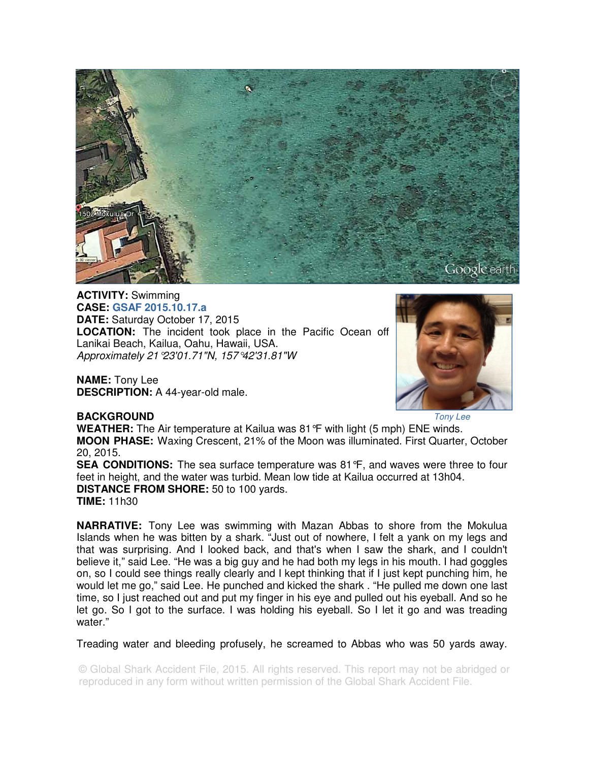

**ACTIVITY:** Swimming **CASE: GSAF 2015.10.17.a DATE:** Saturday October 17, 2015 **LOCATION:** The incident took place in the Pacific Ocean off Lanikai Beach, Kailua, Oahu, Hawaii, USA. Approximately 21°23'01.71"N, 157°42'31.81"W

**NAME:** Tony Lee **DESCRIPTION:** A 44-year-old male.



## **BACKGROUND**

Tony Lee

**WEATHER:** The Air temperature at Kailua was 81°F with light (5 mph) ENE winds. **MOON PHASE:** Waxing Crescent, 21% of the Moon was illuminated. First Quarter, October 20, 2015. **SEA CONDITIONS:** The sea surface temperature was 81°F, and waves were three to four feet in height, and the water was turbid. Mean low tide at Kailua occurred at 13h04.

**DISTANCE FROM SHORE:** 50 to 100 yards. **TIME:** 11h30

**NARRATIVE:** Tony Lee was swimming with Mazan Abbas to shore from the Mokulua Islands when he was bitten by a shark. "Just out of nowhere, I felt a yank on my legs and that was surprising. And I looked back, and that's when I saw the shark, and I couldn't believe it," said Lee. "He was a big guy and he had both my legs in his mouth. I had goggles on, so I could see things really clearly and I kept thinking that if I just kept punching him, he would let me go," said Lee. He punched and kicked the shark . "He pulled me down one last time, so I just reached out and put my finger in his eye and pulled out his eyeball. And so he let go. So I got to the surface. I was holding his eyeball. So I let it go and was treading water."

Treading water and bleeding profusely, he screamed to Abbas who was 50 yards away.

© Global Shark Accident File, 2015. All rights reserved. This report may not be abridged or reproduced in any form without written permission of the Global Shark Accident File.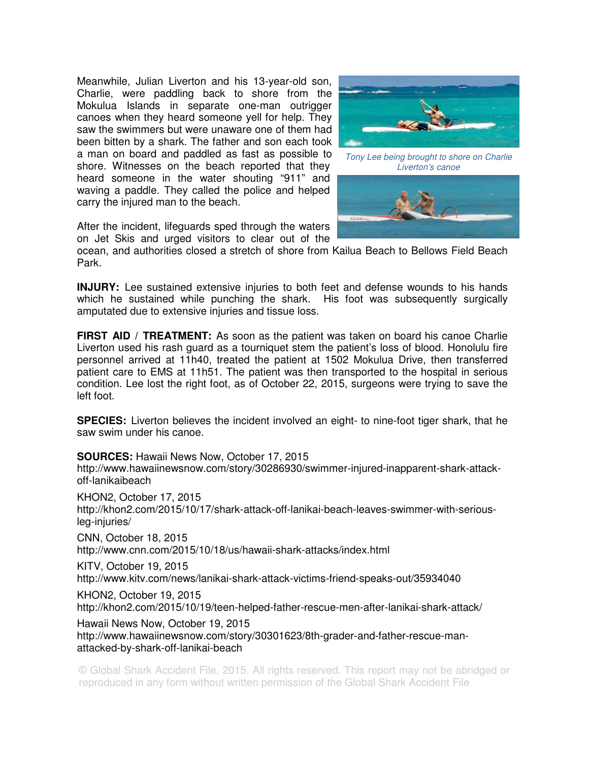Meanwhile, Julian Liverton and his 13-year-old son, Charlie, were paddling back to shore from the Mokulua Islands in separate one-man outrigger canoes when they heard someone yell for help. They saw the swimmers but were unaware one of them had been bitten by a shark. The father and son each took a man on board and paddled as fast as possible to shore. Witnesses on the beach reported that they heard someone in the water shouting "911" and waving a paddle. They called the police and helped carry the injured man to the beach.



Tony Lee being brought to shore on Charlie Liverton's canoe



After the incident, lifeguards sped through the waters on Jet Skis and urged visitors to clear out of the

attacked-by-shark-off-lanikai-beach

ocean, and authorities closed a stretch of shore from Kailua Beach to Bellows Field Beach Park.

**INJURY:** Lee sustained extensive injuries to both feet and defense wounds to his hands which he sustained while punching the shark. His foot was subsequently surgically amputated due to extensive injuries and tissue loss.

**FIRST AID / TREATMENT:** As soon as the patient was taken on board his canoe Charlie Liverton used his rash guard as a tourniquet stem the patient's loss of blood. Honolulu fire personnel arrived at 11h40, treated the patient at 1502 Mokulua Drive, then transferred patient care to EMS at 11h51. The patient was then transported to the hospital in serious condition. Lee lost the right foot, as of October 22, 2015, surgeons were trying to save the left foot.

**SPECIES:** Liverton believes the incident involved an eight- to nine-foot tiger shark, that he saw swim under his canoe.

**SOURCES:** Hawaii News Now, October 17, 2015 http://www.hawaiinewsnow.com/story/30286930/swimmer-injured-inapparent-shark-attackoff-lanikaibeach KHON2, October 17, 2015 http://khon2.com/2015/10/17/shark-attack-off-lanikai-beach-leaves-swimmer-with-seriousleg-injuries/ CNN, October 18, 2015 http://www.cnn.com/2015/10/18/us/hawaii-shark-attacks/index.html KITV, October 19, 2015 http://www.kitv.com/news/lanikai-shark-attack-victims-friend-speaks-out/35934040 KHON2, October 19, 2015 http://khon2.com/2015/10/19/teen-helped-father-rescue-men-after-lanikai-shark-attack/ Hawaii News Now, October 19, 2015 http://www.hawaiinewsnow.com/story/30301623/8th-grader-and-father-rescue-man-

© Global Shark Accident File, 2015. All rights reserved. This report may not be abridged or reproduced in any form without written permission of the Global Shark Accident File